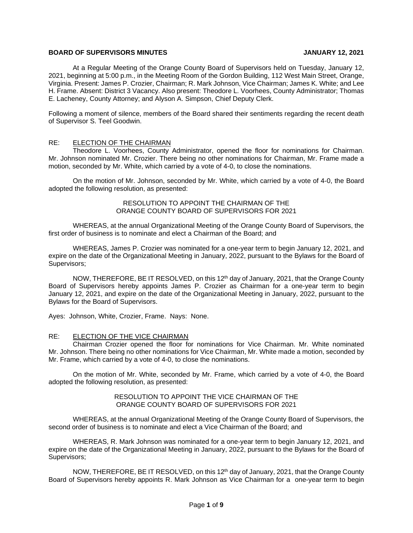# **BOARD OF SUPERVISORS MINUTES JANUARY 12, 2021**

At a Regular Meeting of the Orange County Board of Supervisors held on Tuesday, January 12, 2021, beginning at 5:00 p.m., in the Meeting Room of the Gordon Building, 112 West Main Street, Orange, Virginia. Present: James P. Crozier, Chairman; R. Mark Johnson, Vice Chairman; James K. White; and Lee H. Frame. Absent: District 3 Vacancy. Also present: Theodore L. Voorhees, County Administrator; Thomas E. Lacheney, County Attorney; and Alyson A. Simpson, Chief Deputy Clerk.

Following a moment of silence, members of the Board shared their sentiments regarding the recent death of Supervisor S. Teel Goodwin.

# RE: ELECTION OF THE CHAIRMAN

Theodore L. Voorhees, County Administrator, opened the floor for nominations for Chairman. Mr. Johnson nominated Mr. Crozier. There being no other nominations for Chairman, Mr. Frame made a motion, seconded by Mr. White, which carried by a vote of 4-0, to close the nominations.

On the motion of Mr. Johnson, seconded by Mr. White, which carried by a vote of 4-0, the Board adopted the following resolution, as presented:

## RESOLUTION TO APPOINT THE CHAIRMAN OF THE ORANGE COUNTY BOARD OF SUPERVISORS FOR 2021

WHEREAS, at the annual Organizational Meeting of the Orange County Board of Supervisors, the first order of business is to nominate and elect a Chairman of the Board; and

WHEREAS, James P. Crozier was nominated for a one-year term to begin January 12, 2021, and expire on the date of the Organizational Meeting in January, 2022, pursuant to the Bylaws for the Board of Supervisors;

NOW, THEREFORE, BE IT RESOLVED, on this 12<sup>th</sup> day of January, 2021, that the Orange County Board of Supervisors hereby appoints James P. Crozier as Chairman for a one-year term to begin January 12, 2021, and expire on the date of the Organizational Meeting in January, 2022, pursuant to the Bylaws for the Board of Supervisors.

Ayes: Johnson, White, Crozier, Frame. Nays: None.

# RE: ELECTION OF THE VICE CHAIRMAN

Chairman Crozier opened the floor for nominations for Vice Chairman. Mr. White nominated Mr. Johnson. There being no other nominations for Vice Chairman, Mr. White made a motion, seconded by Mr. Frame, which carried by a vote of 4-0, to close the nominations.

On the motion of Mr. White, seconded by Mr. Frame, which carried by a vote of 4-0, the Board adopted the following resolution, as presented:

### RESOLUTION TO APPOINT THE VICE CHAIRMAN OF THE ORANGE COUNTY BOARD OF SUPERVISORS FOR 2021

WHEREAS, at the annual Organizational Meeting of the Orange County Board of Supervisors, the second order of business is to nominate and elect a Vice Chairman of the Board; and

WHEREAS, R. Mark Johnson was nominated for a one-year term to begin January 12, 2021, and expire on the date of the Organizational Meeting in January, 2022, pursuant to the Bylaws for the Board of Supervisors;

NOW, THEREFORE, BE IT RESOLVED, on this 12<sup>th</sup> day of January, 2021, that the Orange County Board of Supervisors hereby appoints R. Mark Johnson as Vice Chairman for a one-year term to begin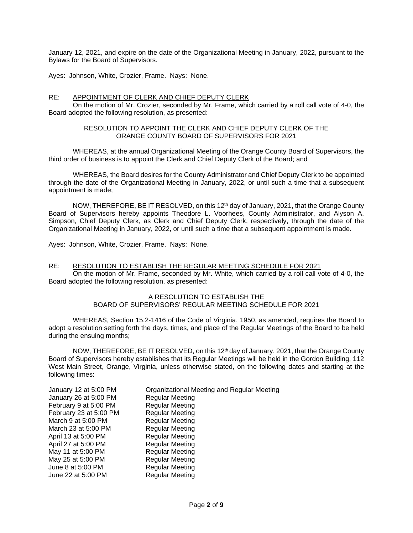January 12, 2021, and expire on the date of the Organizational Meeting in January, 2022, pursuant to the Bylaws for the Board of Supervisors.

Ayes: Johnson, White, Crozier, Frame. Nays: None.

# RE: APPOINTMENT OF CLERK AND CHIEF DEPUTY CLERK

On the motion of Mr. Crozier, seconded by Mr. Frame, which carried by a roll call vote of 4-0, the Board adopted the following resolution, as presented:

#### RESOLUTION TO APPOINT THE CLERK AND CHIEF DEPUTY CLERK OF THE ORANGE COUNTY BOARD OF SUPERVISORS FOR 2021

WHEREAS, at the annual Organizational Meeting of the Orange County Board of Supervisors, the third order of business is to appoint the Clerk and Chief Deputy Clerk of the Board; and

WHEREAS, the Board desires for the County Administrator and Chief Deputy Clerk to be appointed through the date of the Organizational Meeting in January, 2022, or until such a time that a subsequent appointment is made;

NOW, THEREFORE, BE IT RESOLVED, on this 12<sup>th</sup> day of January, 2021, that the Orange County Board of Supervisors hereby appoints Theodore L. Voorhees, County Administrator, and Alyson A. Simpson, Chief Deputy Clerk, as Clerk and Chief Deputy Clerk, respectively, through the date of the Organizational Meeting in January, 2022, or until such a time that a subsequent appointment is made.

Ayes: Johnson, White, Crozier, Frame. Nays: None.

### RE: RESOLUTION TO ESTABLISH THE REGULAR MEETING SCHEDULE FOR 2021

On the motion of Mr. Frame, seconded by Mr. White, which carried by a roll call vote of 4-0, the Board adopted the following resolution, as presented:

#### A RESOLUTION TO ESTABLISH THE BOARD OF SUPERVISORS' REGULAR MEETING SCHEDULE FOR 2021

WHEREAS, Section 15.2-1416 of the Code of Virginia, 1950, as amended, requires the Board to adopt a resolution setting forth the days, times, and place of the Regular Meetings of the Board to be held during the ensuing months;

NOW, THEREFORE, BE IT RESOLVED, on this 12<sup>th</sup> day of January, 2021, that the Orange County Board of Supervisors hereby establishes that its Regular Meetings will be held in the Gordon Building, 112 West Main Street, Orange, Virginia, unless otherwise stated, on the following dates and starting at the following times:

| January 12 at 5:00 PM  | Organizational Meeting and Regular Meeting |
|------------------------|--------------------------------------------|
| January 26 at 5:00 PM  | <b>Regular Meeting</b>                     |
| February 9 at 5:00 PM  | <b>Regular Meeting</b>                     |
| February 23 at 5:00 PM | <b>Regular Meeting</b>                     |
| March 9 at 5:00 PM     | <b>Regular Meeting</b>                     |
| March 23 at 5:00 PM    | <b>Regular Meeting</b>                     |
| April 13 at 5:00 PM    | <b>Regular Meeting</b>                     |
| April 27 at 5:00 PM    | <b>Regular Meeting</b>                     |
| May 11 at 5:00 PM      | <b>Regular Meeting</b>                     |
| May 25 at 5:00 PM      | <b>Regular Meeting</b>                     |
| June 8 at 5:00 PM      | <b>Regular Meeting</b>                     |
| June 22 at 5:00 PM     | <b>Regular Meeting</b>                     |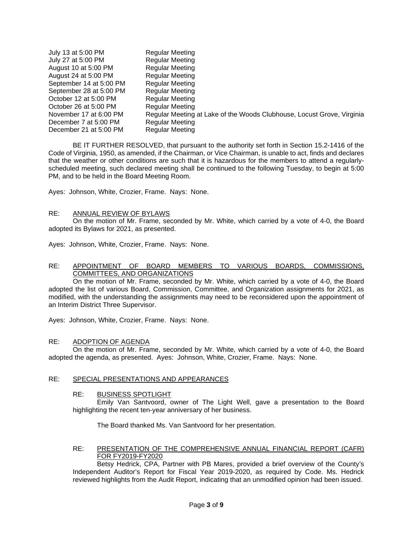| July 13 at 5:00 PM      | <b>Regular Meeting</b>                                                 |
|-------------------------|------------------------------------------------------------------------|
| July 27 at 5:00 PM      | <b>Regular Meeting</b>                                                 |
| August 10 at 5:00 PM    | <b>Regular Meeting</b>                                                 |
| August 24 at 5:00 PM    | <b>Regular Meeting</b>                                                 |
| September 14 at 5:00 PM | <b>Regular Meeting</b>                                                 |
| September 28 at 5:00 PM | <b>Regular Meeting</b>                                                 |
| October 12 at 5:00 PM   | <b>Regular Meeting</b>                                                 |
| October 26 at 5:00 PM   | <b>Regular Meeting</b>                                                 |
| November 17 at 6:00 PM  | Regular Meeting at Lake of the Woods Clubhouse, Locust Grove, Virginia |
| December 7 at 5:00 PM   | <b>Regular Meeting</b>                                                 |
| December 21 at 5:00 PM  | <b>Regular Meeting</b>                                                 |

BE IT FURTHER RESOLVED, that pursuant to the authority set forth in Section 15.2-1416 of the Code of Virginia, 1950, as amended, if the Chairman, or Vice Chairman, is unable to act, finds and declares that the weather or other conditions are such that it is hazardous for the members to attend a regularlyscheduled meeting, such declared meeting shall be continued to the following Tuesday, to begin at 5:00 PM, and to be held in the Board Meeting Room.

Ayes: Johnson, White, Crozier, Frame. Nays: None.

#### RE: ANNUAL REVIEW OF BYLAWS

On the motion of Mr. Frame, seconded by Mr. White, which carried by a vote of 4-0, the Board adopted its Bylaws for 2021, as presented.

Ayes: Johnson, White, Crozier, Frame. Nays: None.

## RE: APPOINTMENT OF BOARD MEMBERS TO VARIOUS BOARDS, COMMISSIONS, COMMITTEES, AND ORGANIZATIONS

On the motion of Mr. Frame, seconded by Mr. White, which carried by a vote of 4-0, the Board adopted the list of various Board, Commission, Committee, and Organization assignments for 2021, as modified, with the understanding the assignments may need to be reconsidered upon the appointment of an Interim District Three Supervisor.

Ayes: Johnson, White, Crozier, Frame. Nays: None.

#### RE: ADOPTION OF AGENDA

On the motion of Mr. Frame, seconded by Mr. White, which carried by a vote of 4-0, the Board adopted the agenda, as presented. Ayes: Johnson, White, Crozier, Frame. Nays: None.

#### RE: SPECIAL PRESENTATIONS AND APPEARANCES

#### RE: BUSINESS SPOTLIGHT

Emily Van Santvoord, owner of The Light Well, gave a presentation to the Board highlighting the recent ten-year anniversary of her business.

The Board thanked Ms. Van Santvoord for her presentation.

# RE: PRESENTATION OF THE COMPREHENSIVE ANNUAL FINANCIAL REPORT (CAFR) FOR FY2019-FY2020

Betsy Hedrick, CPA, Partner with PB Mares, provided a brief overview of the County's Independent Auditor's Report for Fiscal Year 2019-2020, as required by Code. Ms. Hedrick reviewed highlights from the Audit Report, indicating that an unmodified opinion had been issued.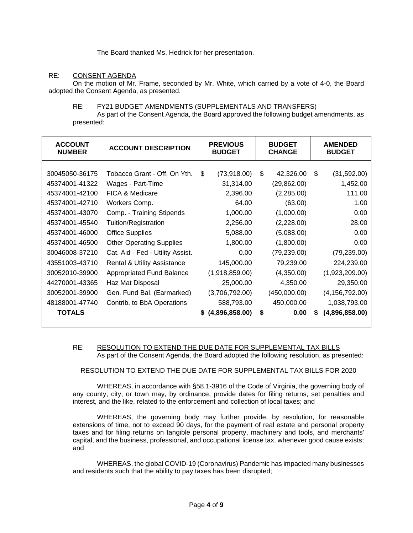The Board thanked Ms. Hedrick for her presentation.

# RE: CONSENT AGENDA

On the motion of Mr. Frame, seconded by Mr. White, which carried by a vote of 4-0, the Board adopted the Consent Agenda, as presented.

#### RE: FY21 BUDGET AMENDMENTS (SUPPLEMENTALS AND TRANSFERS)

As part of the Consent Agenda, the Board approved the following budget amendments, as presented:

| <b>ACCOUNT</b><br><b>NUMBER</b> | <b>ACCOUNT DESCRIPTION</b>             | <b>PREVIOUS</b><br><b>BUDGET</b> | <b>BUDGET</b><br><b>CHANGE</b> | <b>AMENDED</b><br><b>BUDGET</b> |
|---------------------------------|----------------------------------------|----------------------------------|--------------------------------|---------------------------------|
|                                 |                                        |                                  |                                |                                 |
| 30045050-36175                  | Tobacco Grant - Off. On Yth.           | \$<br>(73,918.00)                | \$<br>42,326.00                | (31,592.00)<br>-\$              |
| 45374001-41322                  | Wages - Part-Time                      | 31,314.00                        | (29, 862.00)                   | 1,452.00                        |
| 45374001-42100                  | <b>FICA &amp; Medicare</b>             | 2,396.00                         | (2,285.00)                     | 111.00                          |
| 45374001-42710                  | Workers Comp.                          | 64.00                            | (63.00)                        | 1.00                            |
| 45374001-43070                  | Comp. - Training Stipends              | 1,000.00                         | (1,000.00)                     | 0.00                            |
| 45374001-45540                  | Tuition/Registration                   | 2,256.00                         | (2,228.00)                     | 28.00                           |
| 45374001-46000                  | <b>Office Supplies</b>                 | 5,088.00                         | (5,088.00)                     | 0.00                            |
| 45374001-46500                  | <b>Other Operating Supplies</b>        | 1,800.00                         | (1,800.00)                     | 0.00                            |
| 30046008-37210                  | Cat. Aid - Fed - Utility Assist.       | 0.00                             | (79, 239.00)                   | (79, 239.00)                    |
| 43551003-43710                  | <b>Rental &amp; Utility Assistance</b> | 145,000.00                       | 79,239.00                      | 224,239.00                      |
| 30052010-39900                  | <b>Appropriated Fund Balance</b>       | (1,918,859.00)                   | (4,350.00)                     | (1,923,209.00)                  |
| 44270001-43365                  | Haz Mat Disposal                       | 25,000.00                        | 4,350.00                       | 29,350.00                       |
| 30052001-39900                  | Gen. Fund Bal. (Earmarked)             | (3,706,792.00)                   | (450,000.00)                   | (4, 156, 792.00)                |
| 48188001-47740                  | Contrib. to BbA Operations             | 588,793.00                       | 450,000.00                     | 1,038,793.00                    |
| <b>TOTALS</b>                   |                                        | \$(4,896,858.00)                 | \$<br>0.00                     | (4,896,858.00)<br>S             |

#### RE: RESOLUTION TO EXTEND THE DUE DATE FOR SUPPLEMENTAL TAX BILLS As part of the Consent Agenda, the Board adopted the following resolution, as presented:

RESOLUTION TO EXTEND THE DUE DATE FOR SUPPLEMENTAL TAX BILLS FOR 2020

WHEREAS, in accordance with §58.1-3916 of the Code of Virginia, the governing body of any county, city, or town may, by ordinance, provide dates for filing returns, set penalties and interest, and the like, related to the enforcement and collection of local taxes; and

WHEREAS, the governing body may further provide, by resolution, for reasonable extensions of time, not to exceed 90 days, for the payment of real estate and personal property taxes and for filing returns on tangible personal property, machinery and tools, and merchants' capital, and the business, professional, and occupational license tax, whenever good cause exists; and

WHEREAS, the global COVID-19 (Coronavirus) Pandemic has impacted many businesses and residents such that the ability to pay taxes has been disrupted;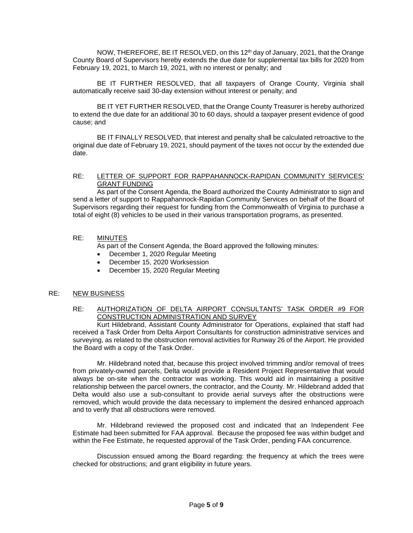NOW, THEREFORE, BE IT RESOLVED, on this 12<sup>th</sup> day of January, 2021, that the Orange County Board of Supervisors hereby extends the due date for supplemental tax bills for 2020 from February 19, 2021, to March 19, 2021, with no interest or penalty; and

BE IT FURTHER RESOLVED, that all taxpayers of Orange County, Virginia shall automatically receive said 30-day extension without interest or penalty; and

BE IT YET FURTHER RESOLVED, that the Orange County Treasurer is hereby authorized to extend the due date for an additional 30 to 60 days, should a taxpayer present evidence of good cause; and

BE IT FINALLY RESOLVED, that interest and penalty shall be calculated retroactive to the original due date of February 19, 2021, should payment of the taxes not occur by the extended due date.

### RE: LETTER OF SUPPORT FOR RAPPAHANNOCK-RAPIDAN COMMUNITY SERVICES' GRANT FUNDING

As part of the Consent Agenda, the Board authorized the County Administrator to sign and send a letter of support to Rappahannock-Rapidan Community Services on behalf of the Board of Supervisors regarding their request for funding from the Commonwealth of Virginia to purchase a total of eight (8) vehicles to be used in their various transportation programs, as presented.

# RE: MINUTES

As part of the Consent Agenda, the Board approved the following minutes:

- December 1, 2020 Regular Meeting
- December 15, 2020 Worksession
- December 15, 2020 Regular Meeting

# RE: NEW BUSINESS

# RE: AUTHORIZATION OF DELTA AIRPORT CONSULTANTS' TASK ORDER #9 FOR CONSTRUCTION ADMINISTRATION AND SURVEY

Kurt Hildebrand, Assistant County Administrator for Operations, explained that staff had received a Task Order from Delta Airport Consultants for construction administrative services and surveying, as related to the obstruction removal activities for Runway 26 of the Airport. He provided the Board with a copy of the Task Order.

Mr. Hildebrand noted that, because this project involved trimming and/or removal of trees from privately-owned parcels, Delta would provide a Resident Project Representative that would always be on-site when the contractor was working. This would aid in maintaining a positive relationship between the parcel owners, the contractor, and the County. Mr. Hildebrand added that Delta would also use a sub-consultant to provide aerial surveys after the obstructions were removed, which would provide the data necessary to implement the desired enhanced approach and to verify that all obstructions were removed.

Mr. Hildebrand reviewed the proposed cost and indicated that an Independent Fee Estimate had been submitted for FAA approval. Because the proposed fee was within budget and within the Fee Estimate, he requested approval of the Task Order, pending FAA concurrence.

Discussion ensued among the Board regarding: the frequency at which the trees were checked for obstructions; and grant eligibility in future years.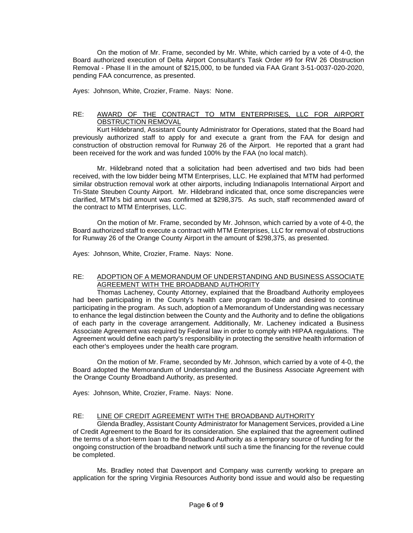On the motion of Mr. Frame, seconded by Mr. White, which carried by a vote of 4-0, the Board authorized execution of Delta Airport Consultant's Task Order #9 for RW 26 Obstruction Removal - Phase II in the amount of \$215,000, to be funded via FAA Grant 3-51-0037-020-2020, pending FAA concurrence, as presented.

Ayes: Johnson, White, Crozier, Frame. Nays: None.

# RE: AWARD OF THE CONTRACT TO MTM ENTERPRISES, LLC FOR AIRPORT OBSTRUCTION REMOVAL

Kurt Hildebrand, Assistant County Administrator for Operations, stated that the Board had previously authorized staff to apply for and execute a grant from the FAA for design and construction of obstruction removal for Runway 26 of the Airport. He reported that a grant had been received for the work and was funded 100% by the FAA (no local match).

Mr. Hildebrand noted that a solicitation had been advertised and two bids had been received, with the low bidder being MTM Enterprises, LLC. He explained that MTM had performed similar obstruction removal work at other airports, including Indianapolis International Airport and Tri-State Steuben County Airport. Mr. Hildebrand indicated that, once some discrepancies were clarified, MTM's bid amount was confirmed at \$298,375. As such, staff recommended award of the contract to MTM Enterprises, LLC.

On the motion of Mr. Frame, seconded by Mr. Johnson, which carried by a vote of 4-0, the Board authorized staff to execute a contract with MTM Enterprises, LLC for removal of obstructions for Runway 26 of the Orange County Airport in the amount of \$298,375, as presented.

Ayes: Johnson, White, Crozier, Frame. Nays: None.

# RE: ADOPTION OF A MEMORANDUM OF UNDERSTANDING AND BUSINESS ASSOCIATE AGREEMENT WITH THE BROADBAND AUTHORITY

Thomas Lacheney, County Attorney, explained that the Broadband Authority employees had been participating in the County's health care program to-date and desired to continue participating in the program. As such, adoption of a Memorandum of Understanding was necessary to enhance the legal distinction between the County and the Authority and to define the obligations of each party in the coverage arrangement. Additionally, Mr. Lacheney indicated a Business Associate Agreement was required by Federal law in order to comply with HIPAA regulations. The Agreement would define each party's responsibility in protecting the sensitive health information of each other's employees under the health care program.

On the motion of Mr. Frame, seconded by Mr. Johnson, which carried by a vote of 4-0, the Board adopted the Memorandum of Understanding and the Business Associate Agreement with the Orange County Broadband Authority, as presented.

Ayes: Johnson, White, Crozier, Frame. Nays: None.

# RE: LINE OF CREDIT AGREEMENT WITH THE BROADBAND AUTHORITY

Glenda Bradley, Assistant County Administrator for Management Services, provided a Line of Credit Agreement to the Board for its consideration. She explained that the agreement outlined the terms of a short-term loan to the Broadband Authority as a temporary source of funding for the ongoing construction of the broadband network until such a time the financing for the revenue could be completed.

Ms. Bradley noted that Davenport and Company was currently working to prepare an application for the spring Virginia Resources Authority bond issue and would also be requesting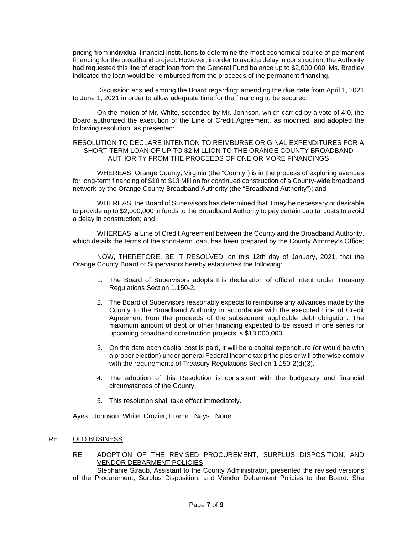pricing from individual financial institutions to determine the most economical source of permanent financing for the broadband project. However, in order to avoid a delay in construction, the Authority had requested this line of credit loan from the General Fund balance up to \$2,000,000. Ms. Bradley indicated the loan would be reimbursed from the proceeds of the permanent financing.

Discussion ensued among the Board regarding: amending the due date from April 1, 2021 to June 1, 2021 in order to allow adequate time for the financing to be secured.

On the motion of Mr. White, seconded by Mr. Johnson, which carried by a vote of 4-0, the Board authorized the execution of the Line of Credit Agreement, as modified, and adopted the following resolution, as presented:

### RESOLUTION TO DECLARE INTENTION TO REIMBURSE ORIGINAL EXPENDITURES FOR A SHORT-TERM LOAN OF UP TO \$2 MILLION TO THE ORANGE COUNTY BROADBAND AUTHORITY FROM THE PROCEEDS OF ONE OR MORE FINANCINGS

WHEREAS, Orange County, Virginia (the "County") is in the process of exploring avenues for long-term financing of \$10 to \$13 Million for continued construction of a County-wide broadband network by the Orange County Broadband Authority (the "Broadband Authority"); and

WHEREAS, the Board of Supervisors has determined that it may be necessary or desirable to provide up to \$2,000,000 in funds to the Broadband Authority to pay certain capital costs to avoid a delay in construction; and

WHEREAS, a Line of Credit Agreement between the County and the Broadband Authority, which details the terms of the short-term loan, has been prepared by the County Attorney's Office;

NOW, THEREFORE, BE IT RESOLVED, on this 12th day of January, 2021, that the Orange County Board of Supervisors hereby establishes the following:

- 1. The Board of Supervisors adopts this declaration of official intent under Treasury Regulations Section 1.150-2.
- 2. The Board of Supervisors reasonably expects to reimburse any advances made by the County to the Broadband Authority in accordance with the executed Line of Credit Agreement from the proceeds of the subsequent applicable debt obligation. The maximum amount of debt or other financing expected to be issued in one series for upcoming broadband construction projects is \$13,000,000.
- 3. On the date each capital cost is paid, it will be a capital expenditure (or would be with a proper election) under general Federal income tax principles or will otherwise comply with the requirements of Treasury Regulations Section 1.150-2(d)(3).
- 4. The adoption of this Resolution is consistent with the budgetary and financial circumstances of the County.
- 5. This resolution shall take effect immediately.

Ayes: Johnson, White, Crozier, Frame. Nays: None.

# RE: OLD BUSINESS

RE: ADOPTION OF THE REVISED PROCUREMENT, SURPLUS DISPOSITION, AND VENDOR DEBARMENT POLICIES

Stephanie Straub, Assistant to the County Administrator, presented the revised versions of the Procurement, Surplus Disposition, and Vendor Debarment Policies to the Board. She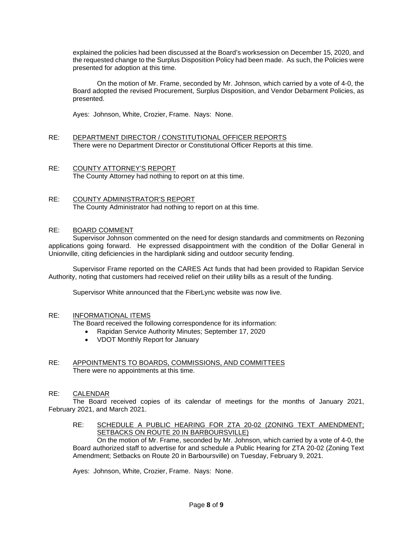explained the policies had been discussed at the Board's worksession on December 15, 2020, and the requested change to the Surplus Disposition Policy had been made. As such, the Policies were presented for adoption at this time.

On the motion of Mr. Frame, seconded by Mr. Johnson, which carried by a vote of 4-0, the Board adopted the revised Procurement, Surplus Disposition, and Vendor Debarment Policies, as presented.

Ayes: Johnson, White, Crozier, Frame. Nays: None.

- RE: DEPARTMENT DIRECTOR / CONSTITUTIONAL OFFICER REPORTS There were no Department Director or Constitutional Officer Reports at this time.
- RE: COUNTY ATTORNEY'S REPORT The County Attorney had nothing to report on at this time.
- RE: COUNTY ADMINISTRATOR'S REPORT The County Administrator had nothing to report on at this time.

# RE: BOARD COMMENT

Supervisor Johnson commented on the need for design standards and commitments on Rezoning applications going forward. He expressed disappointment with the condition of the Dollar General in Unionville, citing deficiencies in the hardiplank siding and outdoor security fending.

Supervisor Frame reported on the CARES Act funds that had been provided to Rapidan Service Authority, noting that customers had received relief on their utility bills as a result of the funding.

Supervisor White announced that the FiberLync website was now live.

# RE: INFORMATIONAL ITEMS

The Board received the following correspondence for its information:

- Rapidan Service Authority Minutes; September 17, 2020
- VDOT Monthly Report for January
- RE: APPOINTMENTS TO BOARDS, COMMISSIONS, AND COMMITTEES There were no appointments at this time.

# RE: CALENDAR

The Board received copies of its calendar of meetings for the months of January 2021, February 2021, and March 2021.

RE: SCHEDULE A PUBLIC HEARING FOR ZTA 20-02 (ZONING TEXT AMENDMENT; SETBACKS ON ROUTE 20 IN BARBOURSVILLE)

On the motion of Mr. Frame, seconded by Mr. Johnson, which carried by a vote of 4-0, the Board authorized staff to advertise for and schedule a Public Hearing for ZTA 20-02 (Zoning Text Amendment; Setbacks on Route 20 in Barboursville) on Tuesday, February 9, 2021.

Ayes: Johnson, White, Crozier, Frame. Nays: None.